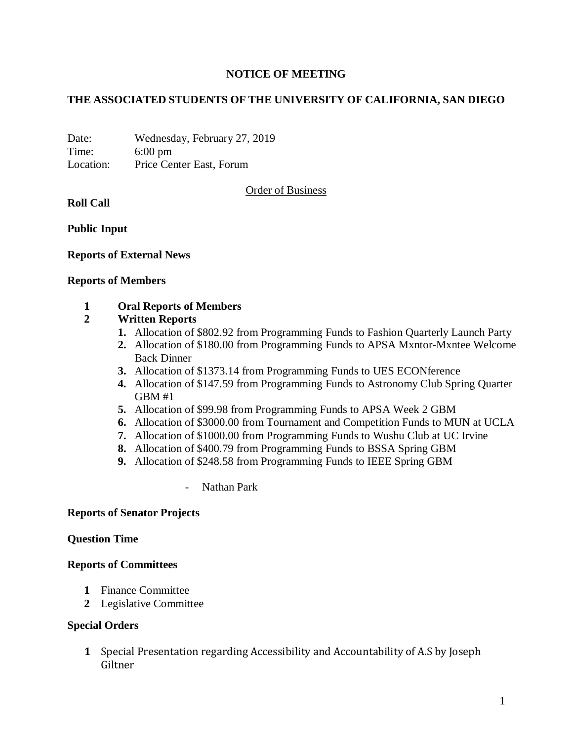## **NOTICE OF MEETING**

## **THE ASSOCIATED STUDENTS OF THE UNIVERSITY OF CALIFORNIA, SAN DIEGO**

Date: Wednesday, February 27, 2019 Time: 6:00 pm Location: Price Center East, Forum

Order of Business

**Roll Call**

**Public Input**

**Reports of External News**

#### **Reports of Members**

### **1 Oral Reports of Members**

## **2 Written Reports**

- **1.** Allocation of \$802.92 from Programming Funds to Fashion Quarterly Launch Party
- **2.** Allocation of \$180.00 from Programming Funds to APSA Mxntor-Mxntee Welcome Back Dinner
- **3.** Allocation of \$1373.14 from Programming Funds to UES ECONference
- **4.** Allocation of \$147.59 from Programming Funds to Astronomy Club Spring Quarter GBM #1
- **5.** Allocation of \$99.98 from Programming Funds to APSA Week 2 GBM
- **6.** Allocation of \$3000.00 from Tournament and Competition Funds to MUN at UCLA
- **7.** Allocation of \$1000.00 from Programming Funds to Wushu Club at UC Irvine
- **8.** Allocation of \$400.79 from Programming Funds to BSSA Spring GBM
- **9.** Allocation of \$248.58 from Programming Funds to IEEE Spring GBM
	- Nathan Park

## **Reports of Senator Projects**

#### **Question Time**

#### **Reports of Committees**

- **1** Finance Committee
- **2** Legislative Committee

## **Special Orders**

**1** Special Presentation regarding Accessibility and Accountability of A.S by Joseph Giltner